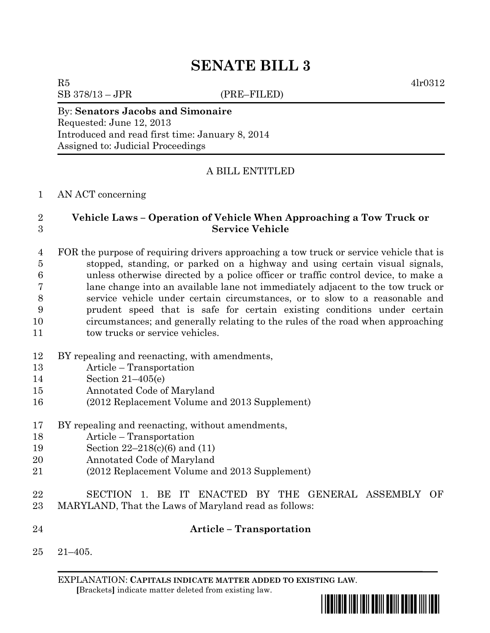# **SENATE BILL 3**

SB 378/13 – JPR (PRE–FILED)

 $R5$  4lr0312

### By: **Senators Jacobs and Simonaire** Requested: June 12, 2013 Introduced and read first time: January 8, 2014

Assigned to: Judicial Proceedings

# A BILL ENTITLED

## AN ACT concerning

## **Vehicle Laws – Operation of Vehicle When Approaching a Tow Truck or Service Vehicle**

 FOR the purpose of requiring drivers approaching a tow truck or service vehicle that is stopped, standing, or parked on a highway and using certain visual signals, unless otherwise directed by a police officer or traffic control device, to make a lane change into an available lane not immediately adjacent to the tow truck or service vehicle under certain circumstances, or to slow to a reasonable and prudent speed that is safe for certain existing conditions under certain circumstances; and generally relating to the rules of the road when approaching 11 tow trucks or service vehicles.

- BY repealing and reenacting, with amendments,
- Article Transportation
- Section 21–405(e)
- Annotated Code of Maryland
- (2012 Replacement Volume and 2013 Supplement)
- BY repealing and reenacting, without amendments,
- Article Transportation
- Section 22–218(c)(6) and (11)
- Annotated Code of Maryland
- (2012 Replacement Volume and 2013 Supplement)
- SECTION 1. BE IT ENACTED BY THE GENERAL ASSEMBLY OF MARYLAND, That the Laws of Maryland read as follows:
- **Article – Transportation**
	- 21–405.